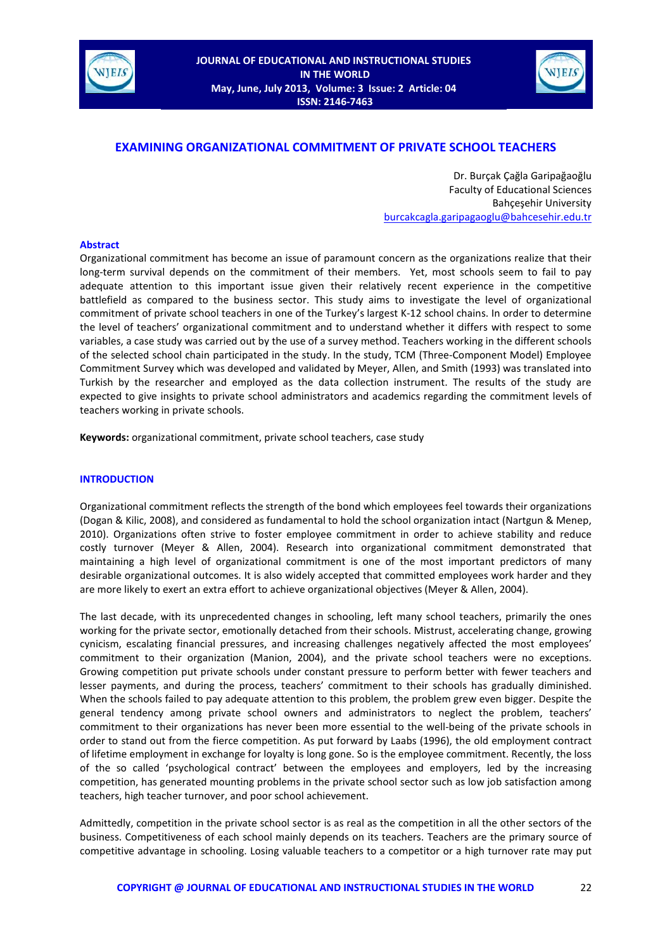



# **EXAMINING ORGANIZATIONAL COMMITMENT OF PRIVATE SCHOOL TEACHERS**

Dr. Burçak Çağla Garipağaoğlu Faculty of Educational Sciences Bahçeşehir University [burcakcagla.garipagaoglu@bahcesehir.edu.tr](mailto:burcakcagla.garipagaoglu@bahcesehir.edu.tr)

#### **Abstract**

Organizational commitment has become an issue of paramount concern as the organizations realize that their long-term survival depends on the commitment of their members. Yet, most schools seem to fail to pay adequate attention to this important issue given their relatively recent experience in the competitive battlefield as compared to the business sector. This study aims to investigate the level of organizational commitment of private school teachers in one of the Turkey's largest K-12 school chains. In order to determine the level of teachers' organizational commitment and to understand whether it differs with respect to some variables, a case study was carried out by the use of a survey method. Teachers working in the different schools of the selected school chain participated in the study. In the study, TCM (Three-Component Model) Employee Commitment Survey which was developed and validated by Meyer, Allen, and Smith (1993) was translated into Turkish by the researcher and employed as the data collection instrument. The results of the study are expected to give insights to private school administrators and academics regarding the commitment levels of teachers working in private schools.

**Keywords:** organizational commitment, private school teachers, case study

## **INTRODUCTION**

Organizational commitment reflects the strength of the bond which employees feel towards their organizations (Dogan & Kilic, 2008), and considered as fundamental to hold the school organization intact (Nartgun & Menep, 2010). Organizations often strive to foster employee commitment in order to achieve stability and reduce costly turnover (Meyer & Allen, 2004). Research into organizational commitment demonstrated that maintaining a high level of organizational commitment is one of the most important predictors of many desirable organizational outcomes. It is also widely accepted that committed employees work harder and they are more likely to exert an extra effort to achieve organizational objectives (Meyer & Allen, 2004).

The last decade, with its unprecedented changes in schooling, left many school teachers, primarily the ones working for the private sector, emotionally detached from their schools. Mistrust, accelerating change, growing cynicism, escalating financial pressures, and increasing challenges negatively affected the most employees' commitment to their organization (Manion, 2004), and the private school teachers were no exceptions. Growing competition put private schools under constant pressure to perform better with fewer teachers and lesser payments, and during the process, teachers' commitment to their schools has gradually diminished. When the schools failed to pay adequate attention to this problem, the problem grew even bigger. Despite the general tendency among private school owners and administrators to neglect the problem, teachers' commitment to their organizations has never been more essential to the well-being of the private schools in order to stand out from the fierce competition. As put forward by Laabs (1996), the old employment contract of lifetime employment in exchange for loyalty is long gone. So is the employee commitment. Recently, the loss of the so called 'psychological contract' between the employees and employers, led by the increasing competition, has generated mounting problems in the private school sector such as low job satisfaction among teachers, high teacher turnover, and poor school achievement.

Admittedly, competition in the private school sector is as real as the competition in all the other sectors of the business. Competitiveness of each school mainly depends on its teachers. Teachers are the primary source of competitive advantage in schooling. Losing valuable teachers to a competitor or a high turnover rate may put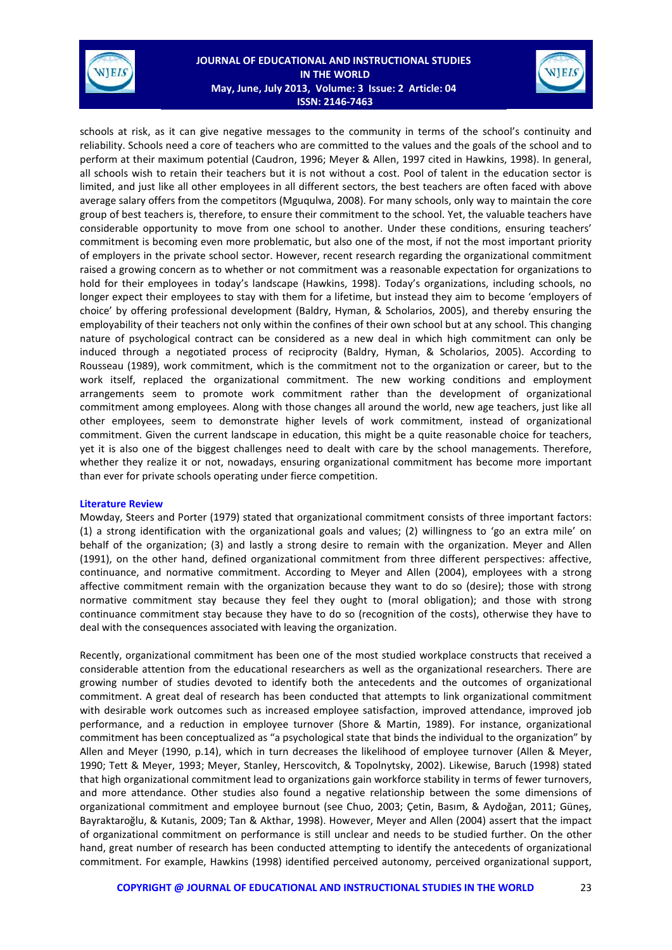

## **JOURNAL OF EDUCATIONAL AND INSTRUCTIONAL STUDIES IN THE WORLD May, June, July 2013, Volume: 3 Issue: 2 Article: 04 ISSN: 2146-7463**



schools at risk, as it can give negative messages to the community in terms of the school's continuity and reliability. Schools need a core of teachers who are committed to the values and the goals of the school and to perform at their maximum potential (Caudron, 1996; Meyer & Allen, 1997 cited in Hawkins, 1998). In general, all schools wish to retain their teachers but it is not without a cost. Pool of talent in the education sector is limited, and just like all other employees in all different sectors, the best teachers are often faced with above average salary offers from the competitors (Mguqulwa, 2008). For many schools, only way to maintain the core group of best teachers is, therefore, to ensure their commitment to the school. Yet, the valuable teachers have considerable opportunity to move from one school to another. Under these conditions, ensuring teachers' commitment is becoming even more problematic, but also one of the most, if not the most important priority of employers in the private school sector. However, recent research regarding the organizational commitment raised a growing concern as to whether or not commitment was a reasonable expectation for organizations to hold for their employees in today's landscape (Hawkins, 1998). Today's organizations, including schools, no longer expect their employees to stay with them for a lifetime, but instead they aim to become 'employers of choice' by offering professional development (Baldry, Hyman, & Scholarios, 2005), and thereby ensuring the employability of their teachers not only within the confines of their own school but at any school. This changing nature of psychological contract can be considered as a new deal in which high commitment can only be induced through a negotiated process of reciprocity (Baldry, Hyman, & Scholarios, 2005). According to Rousseau (1989), work commitment, which is the commitment not to the organization or career, but to the work itself, replaced the organizational commitment. The new working conditions and employment arrangements seem to promote work commitment rather than the development of organizational commitment among employees. Along with those changes all around the world, new age teachers, just like all other employees, seem to demonstrate higher levels of work commitment, instead of organizational commitment. Given the current landscape in education, this might be a quite reasonable choice for teachers, yet it is also one of the biggest challenges need to dealt with care by the school managements. Therefore, whether they realize it or not, nowadays, ensuring organizational commitment has become more important than ever for private schools operating under fierce competition.

#### **Literature Review**

Mowday, Steers and Porter (1979) stated that organizational commitment consists of three important factors: (1) a strong identification with the organizational goals and values; (2) willingness to 'go an extra mile' on behalf of the organization; (3) and lastly a strong desire to remain with the organization. Meyer and Allen (1991), on the other hand, defined organizational commitment from three different perspectives: affective, continuance, and normative commitment. According to Meyer and Allen (2004), employees with a strong affective commitment remain with the organization because they want to do so (desire); those with strong normative commitment stay because they feel they ought to (moral obligation); and those with strong continuance commitment stay because they have to do so (recognition of the costs), otherwise they have to deal with the consequences associated with leaving the organization.

Recently, organizational commitment has been one of the most studied workplace constructs that received a considerable attention from the educational researchers as well as the organizational researchers. There are growing number of studies devoted to identify both the antecedents and the outcomes of organizational commitment. A great deal of research has been conducted that attempts to link organizational commitment with desirable work outcomes such as increased employee satisfaction, improved attendance, improved job performance, and a reduction in employee turnover (Shore & Martin, 1989). For instance, organizational commitment has been conceptualized as "a psychological state that binds the individual to the organization" by Allen and Meyer (1990, p.14), which in turn decreases the likelihood of employee turnover (Allen & Meyer, 1990; Tett & Meyer, 1993; Meyer, Stanley, Herscovitch, & Topolnytsky, 2002). Likewise, Baruch (1998) stated that high organizational commitment lead to organizations gain workforce stability in terms of fewer turnovers, and more attendance. Other studies also found a negative relationship between the some dimensions of organizational commitment and employee burnout (see Chuo, 2003; Çetin, Basım, & Aydoğan, 2011; Güneş, Bayraktaroğlu, & Kutanis, 2009; Tan & Akthar, 1998). However, Meyer and Allen (2004) assert that the impact of organizational commitment on performance is still unclear and needs to be studied further. On the other hand, great number of research has been conducted attempting to identify the antecedents of organizational commitment. For example, Hawkins (1998) identified perceived autonomy, perceived organizational support,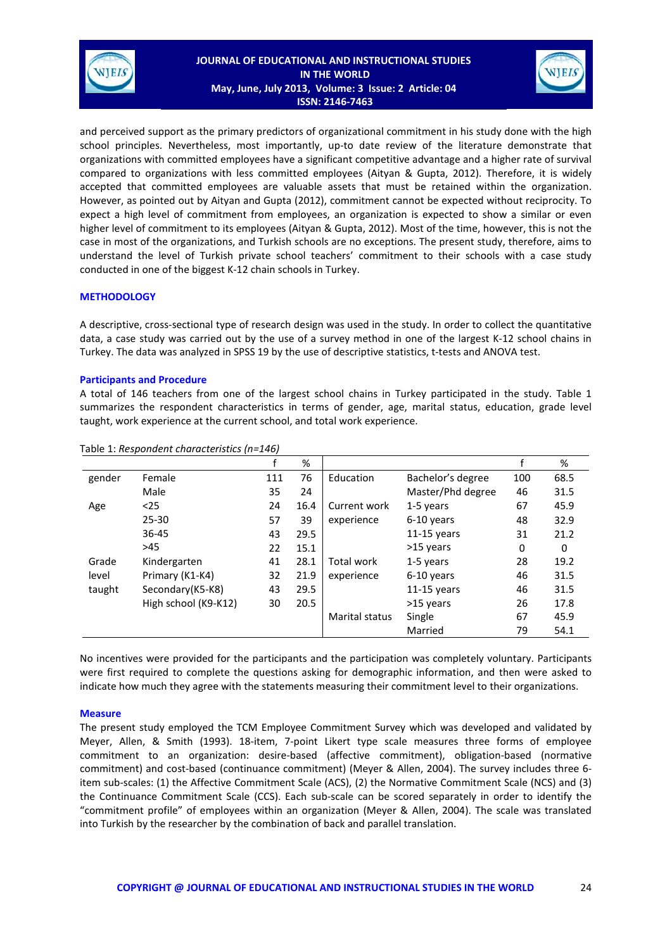

## **JOURNAL OF EDUCATIONAL AND INSTRUCTIONAL STUDIES IN THE WORLD May, June, July 2013, Volume: 3 Issue: 2 Article: 04 ISSN: 2146-7463**



and perceived support as the primary predictors of organizational commitment in his study done with the high school principles. Nevertheless, most importantly, up-to date review of the literature demonstrate that organizations with committed employees have a significant competitive advantage and a higher rate of survival compared to organizations with less committed employees (Aityan & Gupta, 2012). Therefore, it is widely accepted that committed employees are valuable assets that must be retained within the organization. However, as pointed out by Aityan and Gupta (2012), commitment cannot be expected without reciprocity. To expect a high level of commitment from employees, an organization is expected to show a similar or even higher level of commitment to its employees (Aityan & Gupta, 2012). Most of the time, however, this is not the case in most of the organizations, and Turkish schools are no exceptions. The present study, therefore, aims to understand the level of Turkish private school teachers' commitment to their schools with a case study conducted in one of the biggest K-12 chain schools in Turkey.

#### **METHODOLOGY**

A descriptive, cross-sectional type of research design was used in the study. In order to collect the quantitative data, a case study was carried out by the use of a survey method in one of the largest K-12 school chains in Turkey. The data was analyzed in SPSS 19 by the use of descriptive statistics, t-tests and ANOVA test.

## **Participants and Procedure**

A total of 146 teachers from one of the largest school chains in Turkey participated in the study. Table 1 summarizes the respondent characteristics in terms of gender, age, marital status, education, grade level taught, work experience at the current school, and total work experience.

|        |                      | f   | %    |                       |                   |     | %        |
|--------|----------------------|-----|------|-----------------------|-------------------|-----|----------|
| gender | Female               | 111 | 76   | Education             | Bachelor's degree | 100 | 68.5     |
|        | Male                 | 35  | 24   |                       | Master/Phd degree | 46  | 31.5     |
| Age    | $25$                 | 24  | 16.4 | Current work          | 1-5 years         | 67  | 45.9     |
|        | $25 - 30$            | 57  | 39   | experience            | 6-10 years        | 48  | 32.9     |
|        | $36 - 45$            | 43  | 29.5 |                       | $11-15$ years     | 31  | 21.2     |
|        | >45                  | 22  | 15.1 |                       | >15 years         | 0   | $\Omega$ |
| Grade  | Kindergarten         | 41  | 28.1 | <b>Total work</b>     | 1-5 years         | 28  | 19.2     |
| level  | Primary (K1-K4)      | 32  | 21.9 | experience            | 6-10 years        | 46  | 31.5     |
| taught | Secondary(K5-K8)     | 43  | 29.5 |                       | $11-15$ years     | 46  | 31.5     |
|        | High school (K9-K12) | 30  | 20.5 |                       | >15 years         | 26  | 17.8     |
|        |                      |     |      | <b>Marital status</b> | Single            | 67  | 45.9     |
|        |                      |     |      |                       | Married           | 79  | 54.1     |

Table 1: *Respondent characteristics (n=146)*

No incentives were provided for the participants and the participation was completely voluntary. Participants were first required to complete the questions asking for demographic information, and then were asked to indicate how much they agree with the statements measuring their commitment level to their organizations.

#### **Measure**

The present study employed the TCM Employee Commitment Survey which was developed and validated by Meyer, Allen, & Smith (1993). 18-item, 7-point Likert type scale measures three forms of employee commitment to an organization: desire-based (affective commitment), obligation-based (normative commitment) and cost-based (continuance commitment) (Meyer & Allen, 2004). The survey includes three 6 item sub-scales: (1) the Affective Commitment Scale (ACS), (2) the Normative Commitment Scale (NCS) and (3) the Continuance Commitment Scale (CCS). Each sub-scale can be scored separately in order to identify the "commitment profile" of employees within an organization (Meyer & Allen, 2004). The scale was translated into Turkish by the researcher by the combination of back and parallel translation.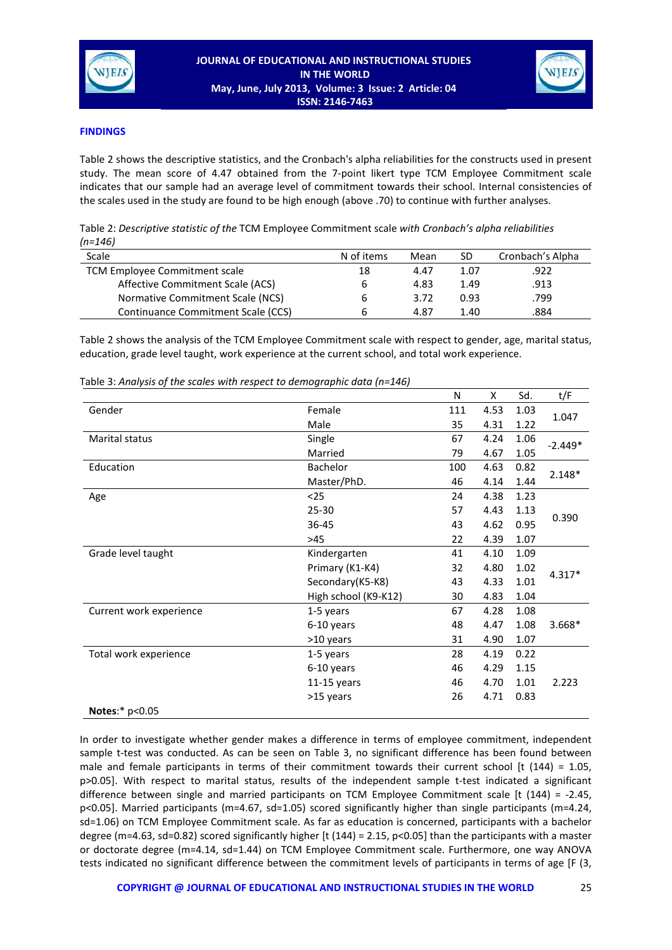



## **FINDINGS**

Table 2 shows the descriptive statistics, and the Cronbach's alpha reliabilities for the constructs used in present study. The mean score of 4.47 obtained from the 7-point likert type TCM Employee Commitment scale indicates that our sample had an average level of commitment towards their school. Internal consistencies of the scales used in the study are found to be high enough (above .70) to continue with further analyses.

| Table 2: Descriptive statistic of the TCM Employee Commitment scale with Cronbach's alpha reliabilities |  |
|---------------------------------------------------------------------------------------------------------|--|
| (n=146)                                                                                                 |  |

| Scale                              | N of items | Mean | SD   | Cronbach's Alpha |
|------------------------------------|------------|------|------|------------------|
| TCM Employee Commitment scale      | 18         | 4.47 | 1.07 | .922             |
| Affective Commitment Scale (ACS)   | b          | 4.83 | 1.49 | .913             |
| Normative Commitment Scale (NCS)   | ь          | 3.72 | 0.93 | .799             |
| Continuance Commitment Scale (CCS) | h          | 4.87 | 1.40 | .884             |

Table 2 shows the analysis of the TCM Employee Commitment scale with respect to gender, age, marital status, education, grade level taught, work experience at the current school, and total work experience.

|                          |                      | N   | X    | Sd.  | t/F       |  |
|--------------------------|----------------------|-----|------|------|-----------|--|
| Gender                   | Female               | 111 | 4.53 | 1.03 |           |  |
|                          | Male                 | 35  | 4.31 | 1.22 | 1.047     |  |
| <b>Marital status</b>    | Single               | 67  | 4.24 | 1.06 | $-2.449*$ |  |
|                          | Married              | 79  | 4.67 | 1.05 |           |  |
| Education                | Bachelor             | 100 | 4.63 | 0.82 |           |  |
|                          | Master/PhD.          | 46  | 4.14 | 1.44 | $2.148*$  |  |
| Age                      | $25$                 | 24  | 4.38 | 1.23 |           |  |
|                          | $25 - 30$            | 57  | 4.43 | 1.13 | 0.390     |  |
|                          | 36-45                | 43  | 4.62 | 0.95 |           |  |
|                          | >45                  | 22  | 4.39 | 1.07 |           |  |
| Grade level taught       | Kindergarten         | 41  | 4.10 | 1.09 |           |  |
|                          | Primary (K1-K4)      | 32  | 4.80 | 1.02 | $4.317*$  |  |
|                          | Secondary(K5-K8)     | 43  | 4.33 | 1.01 |           |  |
|                          | High school (K9-K12) | 30  | 4.83 | 1.04 |           |  |
| Current work experience  | 1-5 years            | 67  | 4.28 | 1.08 |           |  |
|                          | 6-10 years           | 48  | 4.47 | 1.08 | 3.668*    |  |
|                          | >10 years            | 31  | 4.90 | 1.07 |           |  |
| Total work experience    | 1-5 years            | 28  | 4.19 | 0.22 |           |  |
|                          | 6-10 years           | 46  | 4.29 | 1.15 |           |  |
|                          | $11-15$ years        | 46  | 4.70 | 1.01 | 2.223     |  |
|                          | >15 years            | 26  | 4.71 | 0.83 |           |  |
| <b>Notes:</b> $p < 0.05$ |                      |     |      |      |           |  |

Table 3: *Analysis of the scales with respect to demographic data (n=146)*

In order to investigate whether gender makes a difference in terms of employee commitment, independent sample t-test was conducted. As can be seen on Table 3, no significant difference has been found between male and female participants in terms of their commitment towards their current school [t  $(144) = 1.05$ , p>0.05]. With respect to marital status, results of the independent sample t-test indicated a significant difference between single and married participants on TCM Employee Commitment scale [t (144) = -2.45, p<0.05]. Married participants (m=4.67, sd=1.05) scored significantly higher than single participants (m=4.24, sd=1.06) on TCM Employee Commitment scale. As far as education is concerned, participants with a bachelor degree (m=4.63, sd=0.82) scored significantly higher [t (144) = 2.15, p<0.05] than the participants with a master or doctorate degree (m=4.14, sd=1.44) on TCM Employee Commitment scale. Furthermore, one way ANOVA tests indicated no significant difference between the commitment levels of participants in terms of age [F (3,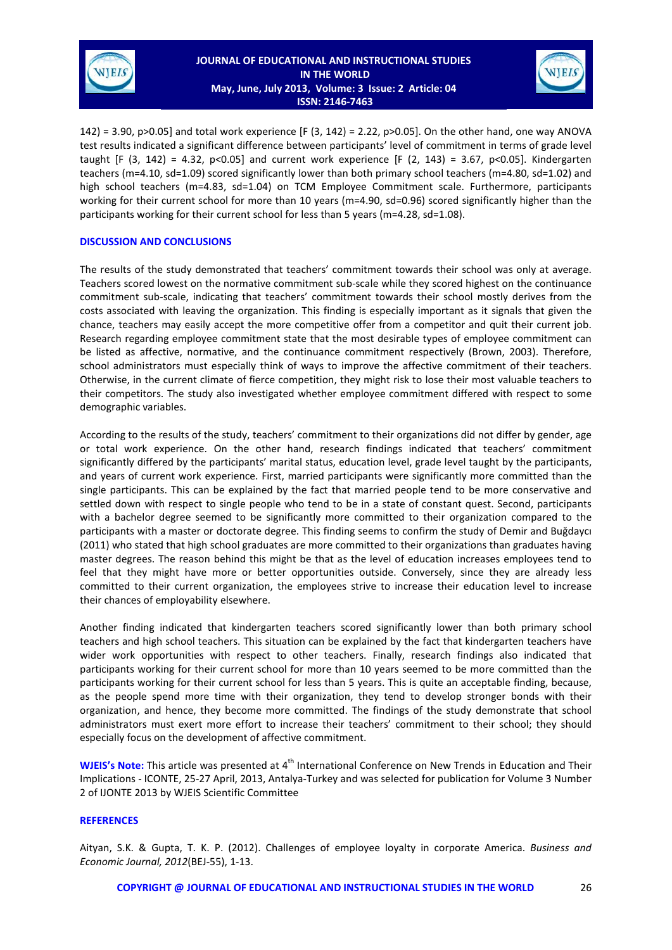



142) = 3.90, p>0.05] and total work experience [F (3, 142) = 2.22, p>0.05]. On the other hand, one way ANOVA test results indicated a significant difference between participants' level of commitment in terms of grade level taught [F (3, 142) = 4.32, p<0.05] and current work experience [F (2, 143) = 3.67, p<0.05]. Kindergarten teachers (m=4.10, sd=1.09) scored significantly lower than both primary school teachers (m=4.80, sd=1.02) and high school teachers (m=4.83, sd=1.04) on TCM Employee Commitment scale. Furthermore, participants working for their current school for more than 10 years (m=4.90, sd=0.96) scored significantly higher than the participants working for their current school for less than 5 years (m=4.28, sd=1.08).

## **DISCUSSION AND CONCLUSIONS**

The results of the study demonstrated that teachers' commitment towards their school was only at average. Teachers scored lowest on the normative commitment sub-scale while they scored highest on the continuance commitment sub-scale, indicating that teachers' commitment towards their school mostly derives from the costs associated with leaving the organization. This finding is especially important as it signals that given the chance, teachers may easily accept the more competitive offer from a competitor and quit their current job. Research regarding employee commitment state that the most desirable types of employee commitment can be listed as affective, normative, and the continuance commitment respectively (Brown, 2003). Therefore, school administrators must especially think of ways to improve the affective commitment of their teachers. Otherwise, in the current climate of fierce competition, they might risk to lose their most valuable teachers to their competitors. The study also investigated whether employee commitment differed with respect to some demographic variables.

According to the results of the study, teachers' commitment to their organizations did not differ by gender, age or total work experience. On the other hand, research findings indicated that teachers' commitment significantly differed by the participants' marital status, education level, grade level taught by the participants, and years of current work experience. First, married participants were significantly more committed than the single participants. This can be explained by the fact that married people tend to be more conservative and settled down with respect to single people who tend to be in a state of constant quest. Second, participants with a bachelor degree seemed to be significantly more committed to their organization compared to the participants with a master or doctorate degree. This finding seems to confirm the study of Demir and Buğdaycı (2011) who stated that high school graduates are more committed to their organizations than graduates having master degrees. The reason behind this might be that as the level of education increases employees tend to feel that they might have more or better opportunities outside. Conversely, since they are already less committed to their current organization, the employees strive to increase their education level to increase their chances of employability elsewhere.

Another finding indicated that kindergarten teachers scored significantly lower than both primary school teachers and high school teachers. This situation can be explained by the fact that kindergarten teachers have wider work opportunities with respect to other teachers. Finally, research findings also indicated that participants working for their current school for more than 10 years seemed to be more committed than the participants working for their current school for less than 5 years. This is quite an acceptable finding, because, as the people spend more time with their organization, they tend to develop stronger bonds with their organization, and hence, they become more committed. The findings of the study demonstrate that school administrators must exert more effort to increase their teachers' commitment to their school; they should especially focus on the development of affective commitment.

**WJEIS's Note:** This article was presented at 4<sup>th</sup> International Conference on New Trends in Education and Their Implications - ICONTE, 25-27 April, 2013, Antalya-Turkey and was selected for publication for Volume 3 Number 2 of IJONTE 2013 by WJEIS Scientific Committee

#### **REFERENCES**

Aityan, S.K. & Gupta, T. K. P. (2012). Challenges of employee loyalty in corporate America. *Business and Economic Journal, 2012*(BEJ-55), 1-13.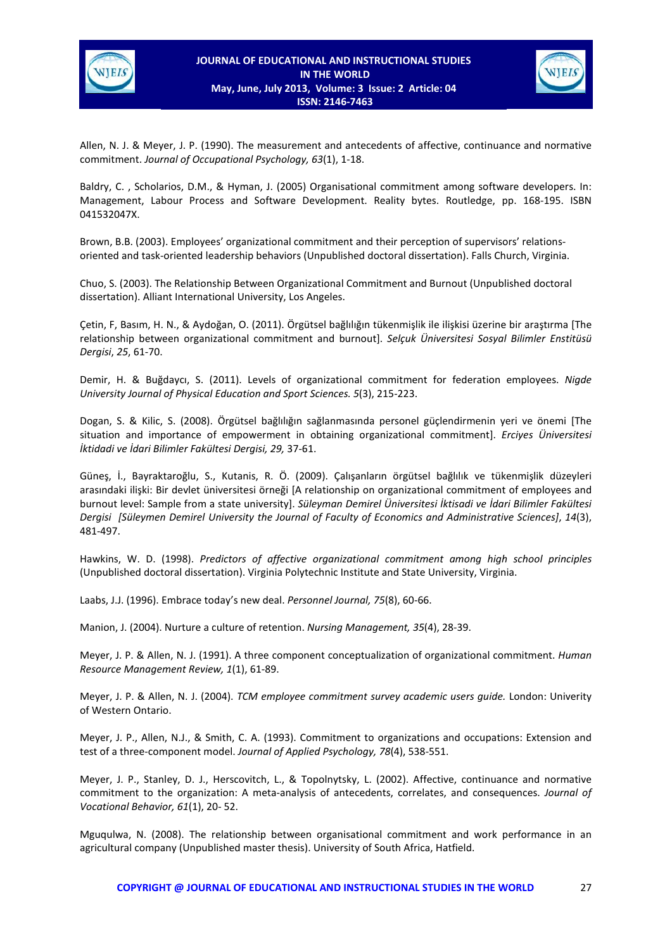



Allen, N. J. & Meyer, J. P. (1990). The measurement and antecedents of affective, continuance and normative commitment. *Journal of Occupational Psychology, 63*(1), 1-18.

Baldry, C. , Scholarios, D.M., & Hyman, J. (2005) Organisational commitment among software developers. In: Management, Labour Process and Software Development. Reality bytes. Routledge, pp. 168-195. ISBN 041532047X.

Brown, B.B. (2003). Employees' organizational commitment and their perception of supervisors' relationsoriented and task-oriented leadership behaviors (Unpublished doctoral dissertation). Falls Church, Virginia.

Chuo, S. (2003). The Relationship Between Organizational Commitment and Burnout (Unpublished doctoral dissertation). Alliant International University, Los Angeles.

Çetin, F, Basım, H. N., & Aydoğan, O. (2011). Örgütsel bağlılığın tükenmişlik ile ilişkisi üzerine bir araştırma [The relationship between organizational commitment and burnout]. *Selçuk Üniversitesi Sosyal Bilimler Enstitüsü Dergisi*, *25*, 61-70.

Demir, H. & Buğdaycı, S. (2011). Levels of organizational commitment for federation employees. *Nigde University Journal of Physical Education and Sport Sciences. 5*(3), 215-223.

Dogan, S. & Kilic, S. (2008). Örgütsel bağlılığın sağlanmasında personel güçlendirmenin yeri ve önemi [The situation and importance of empowerment in obtaining organizational commitment]. *Erciyes Üniversitesi İktidadi ve İdari Bilimler Fakültesi Dergisi, 29,* 37-61.

Güneş, İ., Bayraktaroğlu, S., Kutanis, R. Ö. (2009). Çalışanların örgütsel bağlılık ve tükenmişlik düzeyleri arasındaki ilişki: Bir devlet üniversitesi örneği [A relationship on organizational commitment of employees and burnout level: Sample from a state university]. *Süleyman Demirel Üniversitesi İktisadi ve İdari Bilimler Fakültesi Dergisi [Süleymen Demirel University the Journal of Faculty of Economics and Administrative Sciences]*, *14*(3), 481-497.

Hawkins, W. D. (1998). *Predictors of affective organizational commitment among high school principles*  (Unpublished doctoral dissertation). Virginia Polytechnic Institute and State University, Virginia.

Laabs, J.J. (1996). Embrace today's new deal. *Personnel Journal, 75*(8), 60-66.

Manion, J. (2004). Nurture a culture of retention. *Nursing Management, 35*(4), 28-39.

Meyer, J. P. & Allen, N. J. (1991). A three component conceptualization of organizational commitment. *Human Resource Management Review, 1*(1), 61-89.

Meyer, J. P. & Allen, N. J. (2004). *TCM employee commitment survey academic users guide.* London: Univerity of Western Ontario.

Meyer, J. P., Allen, N.J., & Smith, C. A. (1993). Commitment to organizations and occupations: Extension and test of a three-component model. *Journal of Applied Psychology, 78*(4), 538-551.

Meyer, J. P., Stanley, D. J., Herscovitch, L., & Topolnytsky, L. (2002). Affective, continuance and normative commitment to the organization: A meta-analysis of antecedents, correlates, and consequences. *Journal of Vocational Behavior, 61*(1), 20- 52.

Mguqulwa, N. (2008). The relationship between organisational commitment and work performance in an agricultural company (Unpublished master thesis). University of South Africa, Hatfield.